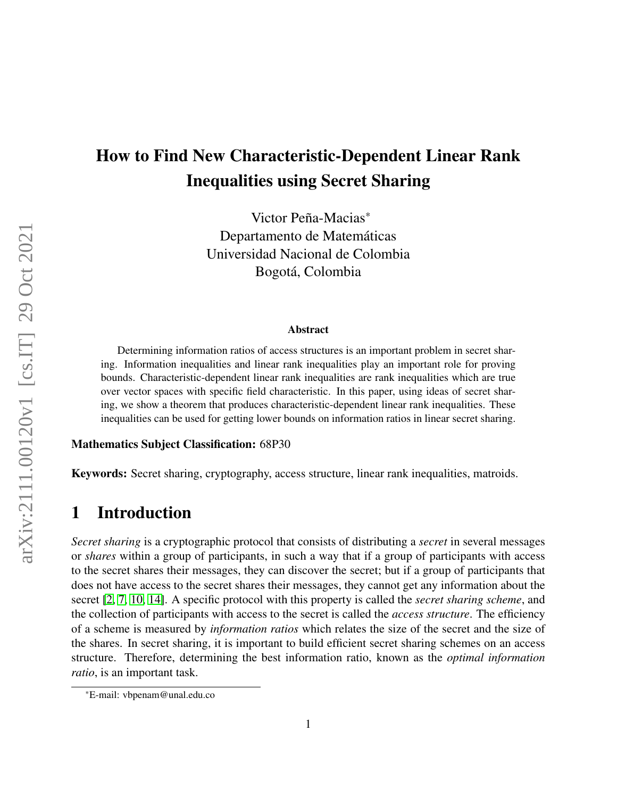# How to Find New Characteristic-Dependent Linear Rank Inequalities using Secret Sharing

Victor Peña-Macias\* Departamento de Matemáticas Universidad Nacional de Colombia Bogotá, Colombia

#### Abstract

Determining information ratios of access structures is an important problem in secret sharing. Information inequalities and linear rank inequalities play an important role for proving bounds. Characteristic-dependent linear rank inequalities are rank inequalities which are true over vector spaces with specific field characteristic. In this paper, using ideas of secret sharing, we show a theorem that produces characteristic-dependent linear rank inequalities. These inequalities can be used for getting lower bounds on information ratios in linear secret sharing.

#### Mathematics Subject Classification: 68P30

Keywords: Secret sharing, cryptography, access structure, linear rank inequalities, matroids.

# 1 Introduction

*Secret sharing* is a cryptographic protocol that consists of distributing a *secret* in several messages or *shares* within a group of participants, in such a way that if a group of participants with access to the secret shares their messages, they can discover the secret; but if a group of participants that does not have access to the secret shares their messages, they cannot get any information about the secret [\[2,](#page-19-0) [7,](#page-19-1) [10,](#page-20-0) [14\]](#page-20-1). A specific protocol with this property is called the *secret sharing scheme*, and the collection of participants with access to the secret is called the *access structure*. The efficiency of a scheme is measured by *information ratios* which relates the size of the secret and the size of the shares. In secret sharing, it is important to build efficient secret sharing schemes on an access structure. Therefore, determining the best information ratio, known as the *optimal information ratio*, is an important task.

<sup>\*</sup>E-mail: vbpenam@unal.edu.co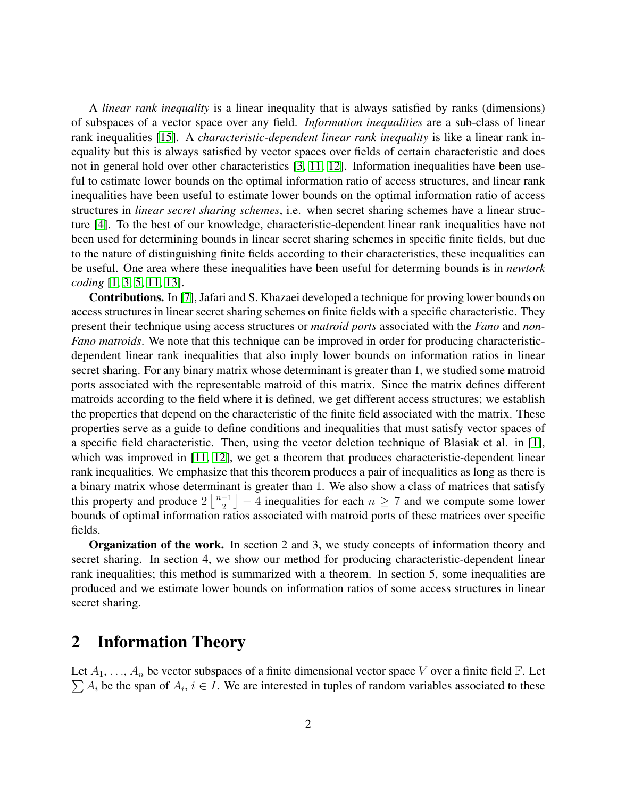A *linear rank inequality* is a linear inequality that is always satisfied by ranks (dimensions) of subspaces of a vector space over any field. *Information inequalities* are a sub-class of linear rank inequalities [\[15\]](#page-20-2). A *characteristic-dependent linear rank inequality* is like a linear rank inequality but this is always satisfied by vector spaces over fields of certain characteristic and does not in general hold over other characteristics [\[3,](#page-19-2) [11,](#page-20-3) [12\]](#page-20-4). Information inequalities have been useful to estimate lower bounds on the optimal information ratio of access structures, and linear rank inequalities have been useful to estimate lower bounds on the optimal information ratio of access structures in *linear secret sharing schemes*, i.e. when secret sharing schemes have a linear structure [\[4\]](#page-19-3). To the best of our knowledge, characteristic-dependent linear rank inequalities have not been used for determining bounds in linear secret sharing schemes in specific finite fields, but due to the nature of distinguishing finite fields according to their characteristics, these inequalities can be useful. One area where these inequalities have been useful for determing bounds is in *newtork coding* [\[1,](#page-19-4) [3,](#page-19-2) [5,](#page-19-5) [11,](#page-20-3) [13\]](#page-20-5).

Contributions. In [\[7\]](#page-19-1), Jafari and S. Khazaei developed a technique for proving lower bounds on access structures in linear secret sharing schemes on finite fields with a specific characteristic. They present their technique using access structures or *matroid ports* associated with the *Fano* and *non-Fano matroids*. We note that this technique can be improved in order for producing characteristicdependent linear rank inequalities that also imply lower bounds on information ratios in linear secret sharing. For any binary matrix whose determinant is greater than 1, we studied some matroid ports associated with the representable matroid of this matrix. Since the matrix defines different matroids according to the field where it is defined, we get different access structures; we establish the properties that depend on the characteristic of the finite field associated with the matrix. These properties serve as a guide to define conditions and inequalities that must satisfy vector spaces of a specific field characteristic. Then, using the vector deletion technique of Blasiak et al. in [\[1\]](#page-19-4), which was improved in [\[11,](#page-20-3) [12\]](#page-20-4), we get a theorem that produces characteristic-dependent linear rank inequalities. We emphasize that this theorem produces a pair of inequalities as long as there is a binary matrix whose determinant is greater than 1. We also show a class of matrices that satisfy this property and produce  $2\left\lfloor\frac{n-1}{2}\right\rfloor$  $\left\lfloor \frac{-1}{2} \right\rfloor - 4$  inequalities for each  $n \geq 7$  and we compute some lower bounds of optimal information ratios associated with matroid ports of these matrices over specific fields.

Organization of the work. In section 2 and 3, we study concepts of information theory and secret sharing. In section 4, we show our method for producing characteristic-dependent linear rank inequalities; this method is summarized with a theorem. In section 5, some inequalities are produced and we estimate lower bounds on information ratios of some access structures in linear secret sharing.

#### 2 Information Theory

Let  $A_1, \ldots, A_n$  be vector subspaces of a finite dimensional vector space V over a finite field  $\mathbb{F}$ . Let  $\sum A_i$  be the span of  $A_i$ ,  $i \in I$ . We are interested in tuples of random variables associated to these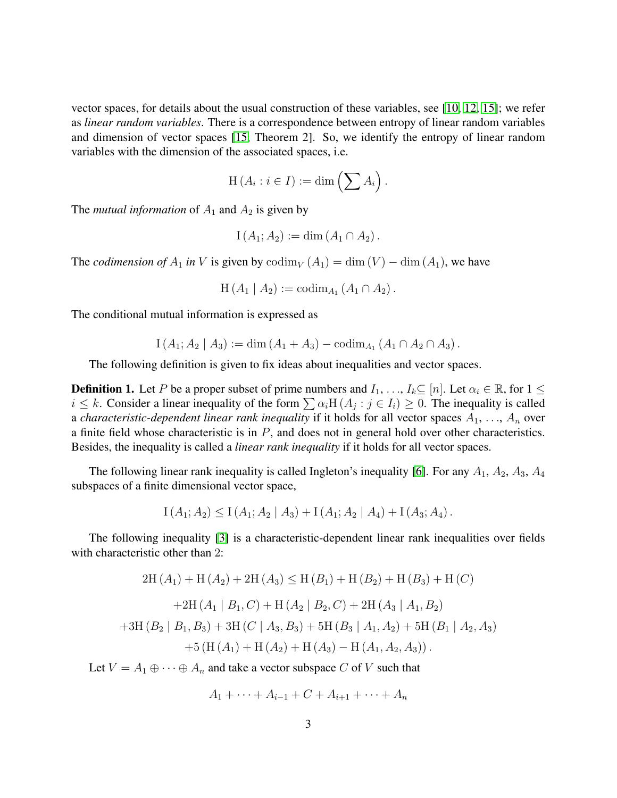vector spaces, for details about the usual construction of these variables, see [\[10,](#page-20-0) [12,](#page-20-4) [15\]](#page-20-2); we refer as *linear random variables*. There is a correspondence between entropy of linear random variables and dimension of vector spaces [\[15,](#page-20-2) Theorem 2]. So, we identify the entropy of linear random variables with the dimension of the associated spaces, i.e.

$$
\mathrm{H}(A_i : i \in I) := \dim \left( \sum A_i \right).
$$

The *mutual information* of  $A_1$  and  $A_2$  is given by

$$
I(A_1; A_2) := \dim (A_1 \cap A_2).
$$

The *codimension of*  $A_1$  *in* V is given by  $\text{codim}_V (A_1) = \dim (V) - \dim (A_1)$ , we have

$$
H(A_1 | A_2) := \mathrm{codim}_{A_1} (A_1 \cap A_2).
$$

The conditional mutual information is expressed as

$$
I(A_1; A_2 | A_3) := \dim(A_1 + A_3) - \operatorname{codim}_{A_1}(A_1 \cap A_2 \cap A_3).
$$

The following definition is given to fix ideas about inequalities and vector spaces.

**Definition 1.** Let P be a proper subset of prime numbers and  $I_1, \ldots, I_k \subseteq [n]$ . Let  $\alpha_i \in \mathbb{R}$ , for  $1 \leq$  $i \leq k$ . Consider a linear inequality of the form  $\sum \alpha_i H(A_j : j \in I_i) \geq 0$ . The inequality is called a *characteristic-dependent linear rank inequality* if it holds for all vector spaces  $A_1, \ldots, A_n$  over a finite field whose characteristic is in  $P$ , and does not in general hold over other characteristics. Besides, the inequality is called a *linear rank inequality* if it holds for all vector spaces.

The following linear rank inequality is called Ingleton's inequality [\[6\]](#page-19-6). For any  $A_1$ ,  $A_2$ ,  $A_3$ ,  $A_4$ subspaces of a finite dimensional vector space,

$$
I(A_1; A_2) \le I(A_1; A_2 | A_3) + I(A_1; A_2 | A_4) + I(A_3; A_4).
$$

The following inequality [\[3\]](#page-19-2) is a characteristic-dependent linear rank inequalities over fields with characteristic other than 2:

$$
2H(A_1) + H(A_2) + 2H(A_3) \le H(B_1) + H(B_2) + H(B_3) + H(C)
$$
  
+2H(A\_1 | B\_1, C) + H(A\_2 | B\_2, C) + 2H(A\_3 | A\_1, B\_2)  
+3H(B\_2 | B\_1, B\_3) + 3H(C | A\_3, B\_3) + 5H(B\_3 | A\_1, A\_2) + 5H(B\_1 | A\_2, A\_3)  
+5(H(A\_1) + H(A\_2) + H(A\_3) - H(A\_1, A\_2, A\_3)).

Let  $V = A_1 \oplus \cdots \oplus A_n$  and take a vector subspace C of V such that

$$
A_1 + \dots + A_{i-1} + C + A_{i+1} + \dots + A_n
$$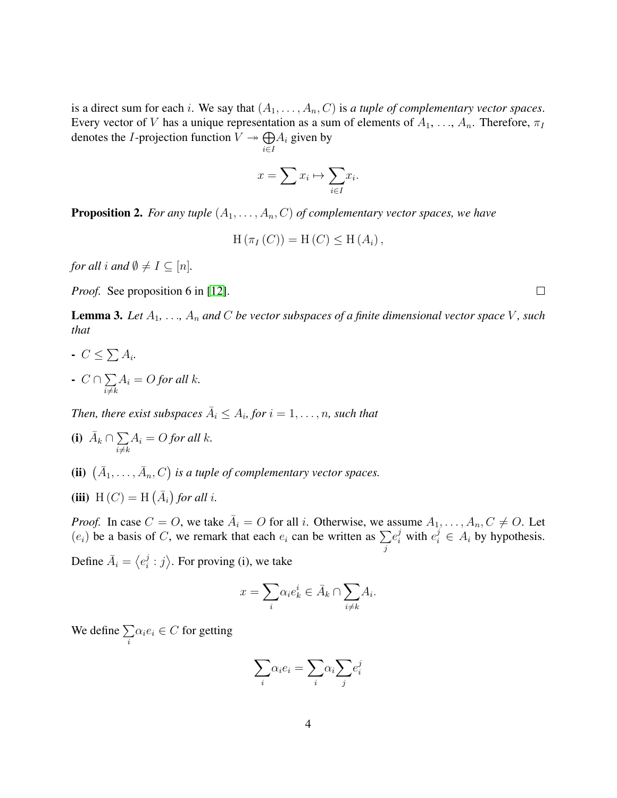is a direct sum for each *i*. We say that  $(A_1, \ldots, A_n, C)$  is *a tuple of complementary vector spaces*. Every vector of V has a unique representation as a sum of elements of  $A_1, \ldots, A_n$ . Therefore,  $\pi_I$ denotes the *I*-projection function  $V \rightarrow \bigoplus$ i∈I  $A_i$  given by

$$
x = \sum x_i \mapsto \sum_{i \in I} x_i.
$$

<span id="page-3-0"></span>**Proposition 2.** *For any tuple*  $(A_1, \ldots, A_n, C)$  *of complementary vector spaces, we have* 

$$
H(\pi_I(C)) = H(C) \leq H(A_i),
$$

*for all i and*  $\emptyset \neq I \subseteq [n]$ *.* 

*Proof.* See proposition 6 in [\[12\]](#page-20-4).

<span id="page-3-1"></span>**Lemma 3.** Let  $A_1, \ldots, A_n$  and C be vector subspaces of a finite dimensional vector space V, such *that*

- $C \leq \sum A_i$ .
- $C \cap \sum$  $i{\neq}k$  $A_i = O$  *for all k.*

*Then, there exist subspaces*  $\overline{A}_i \leq A_i$ , for  $i = 1, \ldots, n$ , such that

- (i)  $\bar{A}_k \cap \sum$  $i \neq k$  $A_i = O$  *for all k.*
- (ii)  $(\bar{A}_1, \ldots, \bar{A}_n, C)$  is a tuple of complementary vector spaces.
- (iii)  $H(C) = H(\overline{A}_i)$  for all *i*.

*Proof.* In case  $C = O$ , we take  $\overline{A}_i = O$  for all i. Otherwise, we assume  $A_1, \ldots, A_n, C \neq O$ . Let  $(e_i)$  be a basis of C, we remark that each  $e_i$  can be written as  $\Sigma$ j  $e_i^j$  with  $e_i^j \in A_i$  by hypothesis. Define  $\bar{A}_i = \langle e_i^j \rangle$  $\langle i : j \rangle$ . For proving (i), we take

$$
x = \sum_{i} \alpha_i e_k^i \in \bar{A}_k \cap \sum_{i \neq k} A_i.
$$

We define  $\sum$ i  $\alpha_i e_i \in C$  for getting

$$
\sum_i \alpha_i e_i = \sum_i \alpha_i \sum_j e_i^j
$$

 $\Box$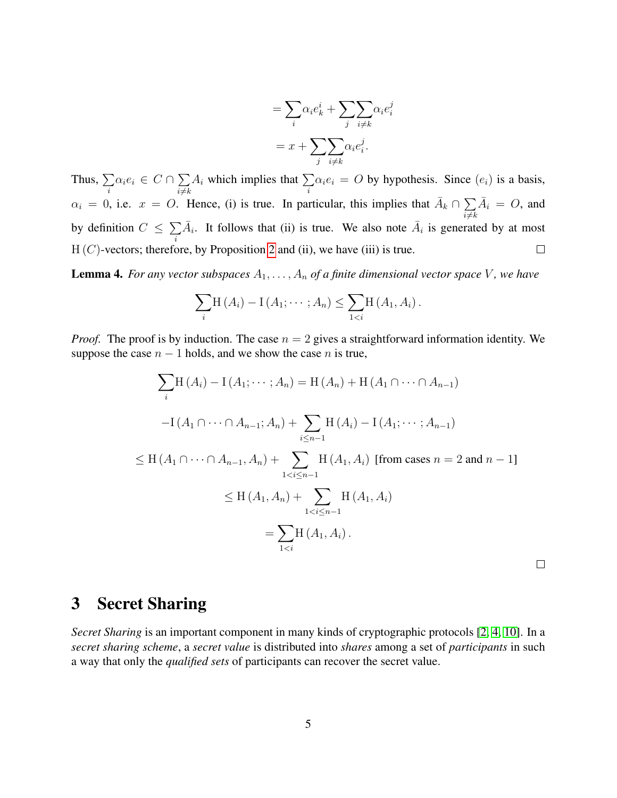$$
= \sum_{i} \alpha_{i} e_{k}^{i} + \sum_{j} \sum_{i \neq k} \alpha_{i} e_{i}^{j}
$$

$$
= x + \sum_{j} \sum_{i \neq k} \alpha_{i} e_{i}^{j}.
$$

Thus,  $\sum$  $\alpha_i e_i \in C \cap \sum$  $A_i$  which implies that  $\sum$  $\alpha_i e_i = O$  by hypothesis. Since  $(e_i)$  is a basis, i  $i{\neq}k$ i  $\alpha_i = 0$ , i.e.  $x = 0$ . Hence, (i) is true. In particular, this implies that  $\overline{A}_k \cap \sum$  $\bar{A}_i = O$ , and  $i{\neq}k$  $\overline{A}_i$ . It follows that (ii) is true. We also note  $\overline{A}_i$  is generated by at most by definition  $C \leq \sum$ i  $H(C)$ -vectors; therefore, by Proposition [2](#page-3-0) and (ii), we have (iii) is true.  $\Box$ 

<span id="page-4-0"></span>**Lemma 4.** *For any vector subspaces*  $A_1, \ldots, A_n$  *of a finite dimensional vector space* V, we have

$$
\sum_{i} H(A_{i}) - I(A_{1}; \cdots; A_{n}) \leq \sum_{1 < i} H(A_{1}, A_{i}).
$$

*Proof.* The proof is by induction. The case  $n = 2$  gives a straightforward information identity. We suppose the case  $n - 1$  holds, and we show the case n is true,

$$
\sum_{i} H(A_{i}) - I(A_{1}; \dots; A_{n}) = H(A_{n}) + H(A_{1} \cap \dots \cap A_{n-1})
$$
  
\n
$$
-I(A_{1} \cap \dots \cap A_{n-1}; A_{n}) + \sum_{i \leq n-1} H(A_{i}) - I(A_{1}; \dots; A_{n-1})
$$
  
\n
$$
\leq H(A_{1} \cap \dots \cap A_{n-1}, A_{n}) + \sum_{1 < i \leq n-1} H(A_{1}, A_{i}) \text{ [from cases } n = 2 \text{ and } n - 1]
$$
  
\n
$$
\leq H(A_{1}, A_{n}) + \sum_{1 < i \leq n-1} H(A_{1}, A_{i})
$$
  
\n
$$
= \sum_{1 < i} H(A_{1}, A_{i}).
$$

#### 3 Secret Sharing

*Secret Sharing* is an important component in many kinds of cryptographic protocols [\[2,](#page-19-0) [4,](#page-19-3) [10\]](#page-20-0). In a *secret sharing scheme*, a *secret value* is distributed into *shares* among a set of *participants* in such a way that only the *qualified sets* of participants can recover the secret value.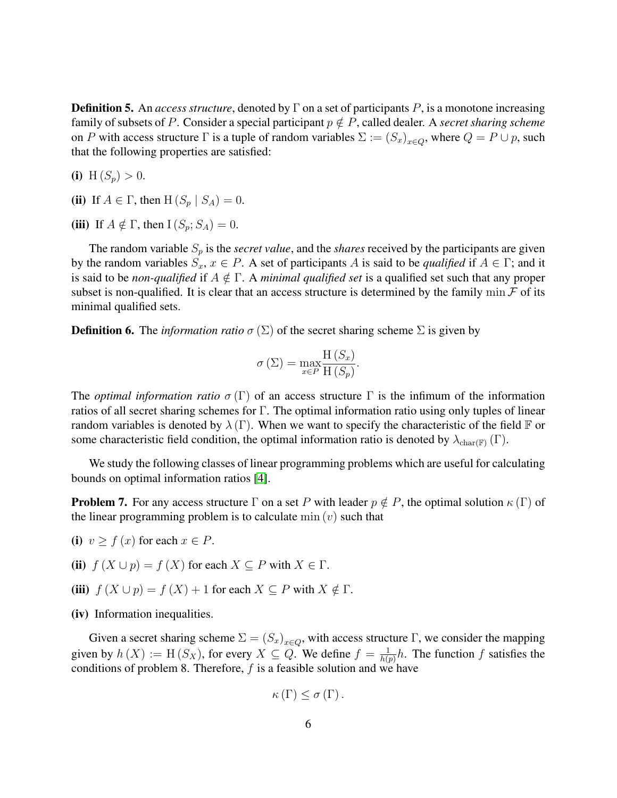**Definition 5.** An *access structure*, denoted by  $\Gamma$  on a set of participants P, is a monotone increasing family of subsets of P. Consider a special participant  $p \notin P$ , called dealer. A *secret sharing scheme* on P with access structure  $\Gamma$  is a tuple of random variables  $\Sigma := (S_x)_{x \in Q}$ , where  $Q = P \cup p$ , such that the following properties are satisfied:

(i) H  $(S_p) > 0$ .

- (ii) If  $A \in \Gamma$ , then  $H(S_p | S_A) = 0$ .
- (iii) If  $A \notin \Gamma$ , then  $I(S_p; S_A) = 0$ .

The random variable  $S_p$  is the *secret value*, and the *shares* received by the participants are given by the random variables  $S_x, x \in P$ . A set of participants A is said to be *qualified* if  $A \in \Gamma$ ; and it is said to be *non-qualified* if  $A \notin \Gamma$ . A *minimal qualified set* is a qualified set such that any proper subset is non-qualified. It is clear that an access structure is determined by the family min  $\mathcal F$  of its minimal qualified sets.

**Definition 6.** The *information ratio*  $\sigma(\Sigma)$  of the secret sharing scheme  $\Sigma$  is given by

$$
\sigma\left(\Sigma\right) = \max_{x \in P} \frac{\mathrm{H}\left(S_x\right)}{\mathrm{H}\left(S_p\right)}.
$$

The *optimal information ratio*  $\sigma(\Gamma)$  of an access structure  $\Gamma$  is the infimum of the information ratios of all secret sharing schemes for Γ. The optimal information ratio using only tuples of linear random variables is denoted by  $\lambda(\Gamma)$ . When we want to specify the characteristic of the field F or some characteristic field condition, the optimal information ratio is denoted by  $\lambda_{\text{char}(\mathbb{F})}(\Gamma)$ .

We study the following classes of linear programming problems which are useful for calculating bounds on optimal information ratios [\[4\]](#page-19-3).

<span id="page-5-0"></span>**Problem 7.** For any access structure  $\Gamma$  on a set P with leader  $p \notin P$ , the optimal solution  $\kappa$  ( $\Gamma$ ) of the linear programming problem is to calculate  $min(v)$  such that

- (i)  $v \ge f(x)$  for each  $x \in P$ .
- (ii)  $f(X \cup p) = f(X)$  for each  $X \subseteq P$  with  $X \in \Gamma$ .
- (iii)  $f(X \cup p) = f(X) + 1$  for each  $X \subseteq P$  with  $X \notin \Gamma$ .
- (iv) Information inequalities.

Given a secret sharing scheme  $\Sigma = (S_x)_{x \in Q}$ , with access structure  $\Gamma$ , we consider the mapping given by  $h(X) := H(S_X)$ , for every  $X \subseteq Q$ . We define  $f = \frac{1}{h(x)}$  $\frac{1}{h(p)}h$ . The function f satisfies the conditions of problem 8. Therefore,  $f$  is a feasible solution and we have

$$
\kappa\left(\Gamma\right)\leq\sigma\left(\Gamma\right).
$$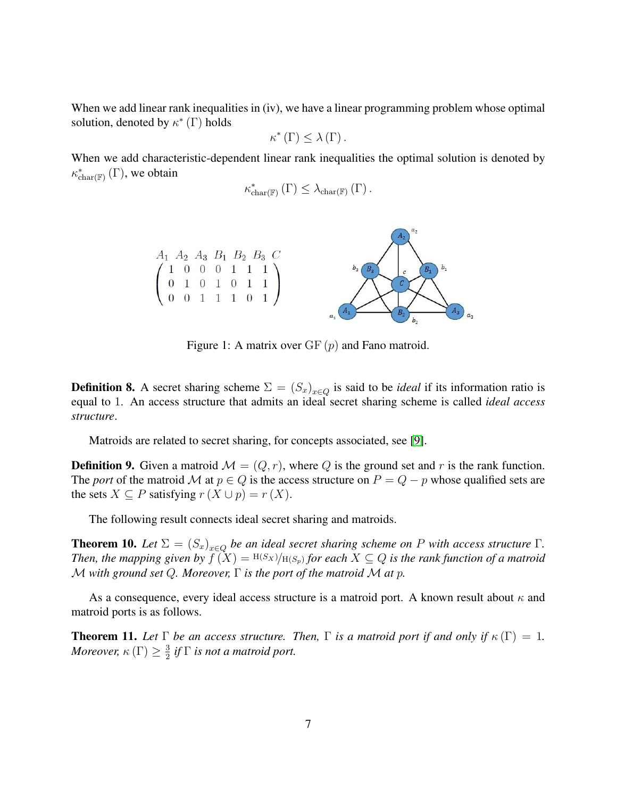When we add linear rank inequalities in (iv), we have a linear programming problem whose optimal solution, denoted by  $\kappa^*$  (Γ) holds

$$
\kappa^{\ast}\left(\Gamma\right)\leq\lambda\left(\Gamma\right).
$$

When we add characteristic-dependent linear rank inequalities the optimal solution is denoted by  $\kappa^*_{char(F)}(\Gamma)$ , we obtain

$$
\kappa_{\text{char}(\mathbb{F})}^{*}(\Gamma) \leq \lambda_{\text{char}(\mathbb{F})}(\Gamma).
$$



<span id="page-6-0"></span>Figure 1: A matrix over  $GF(p)$  and Fano matroid.

**Definition 8.** A secret sharing scheme  $\Sigma = (S_x)_{x \in Q}$  is said to be *ideal* if its information ratio is equal to 1. An access structure that admits an ideal secret sharing scheme is called *ideal access structure*.

Matroids are related to secret sharing, for concepts associated, see [\[9\]](#page-20-6).

**Definition 9.** Given a matroid  $\mathcal{M} = (Q, r)$ , where Q is the ground set and r is the rank function. The *port* of the matroid M at  $p \in Q$  is the access structure on  $P = Q - p$  whose qualified sets are the sets  $X \subseteq P$  satisfying  $r(X \cup p) = r(X)$ .

The following result connects ideal secret sharing and matroids.

**Theorem 10.** Let  $\Sigma = (S_x)_{x \in Q}$  be an ideal secret sharing scheme on P with access structure  $\Gamma$ . *Then, the mapping given by*  $\widetilde{f(X)} = H(S_X)/H(S_p)$  *for each*  $X \subseteq Q$  *is the rank function of a matroid* M *with ground set* Q*. Moreover,* Γ *is the port of the matroid* M *at* p*.*

As a consequence, every ideal access structure is a matroid port. A known result about  $\kappa$  and matroid ports is as follows.

**Theorem 11.** Let  $\Gamma$  be an access structure. Then,  $\Gamma$  is a matroid port if and only if  $\kappa(\Gamma) = 1$ . *Moreover,*  $\kappa$  (Γ)  $\geq \frac{3}{2}$  $\frac{3}{2}$  if  $\Gamma$  is not a matroid port.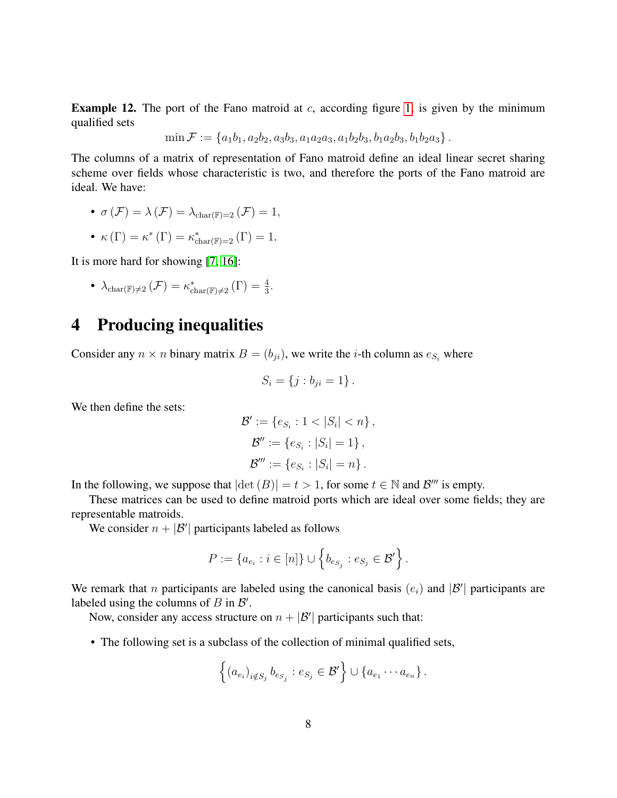**Example 12.** The port of the Fano matroid at  $c$ , according figure [1,](#page-6-0) is given by the minimum qualified sets

$$
\min \mathcal{F} := \{a_1b_1, a_2b_2, a_3b_3, a_1a_2a_3, a_1b_2b_3, b_1a_2b_3, b_1b_2a_3\}.
$$

The columns of a matrix of representation of Fano matroid define an ideal linear secret sharing scheme over fields whose characteristic is two, and therefore the ports of the Fano matroid are ideal. We have:

• 
$$
\sigma(\mathcal{F}) = \lambda(\mathcal{F}) = \lambda_{\text{char}(\mathbb{F})=2}(\mathcal{F}) = 1,
$$

• 
$$
\kappa(\Gamma) = \kappa^*(\Gamma) = \kappa_{\text{char}(\mathbb{F})=2}^*(\Gamma) = 1.
$$

It is more hard for showing [\[7,](#page-19-1) [16\]](#page-20-7):

• 
$$
\lambda_{\text{char}(\mathbb{F})\neq 2}(\mathcal{F}) = \kappa_{\text{char}(\mathbb{F})\neq 2}^*(\Gamma) = \frac{4}{3}.
$$

### 4 Producing inequalities

Consider any  $n \times n$  binary matrix  $B = (b_{ji})$ , we write the *i*-th column as  $e_{S_i}$  where

$$
S_i = \{j : b_{ji} = 1\}.
$$

We then define the sets:

$$
\mathcal{B}' := \{e_{S_i} : 1 < |S_i| < n\},
$$
\n
$$
\mathcal{B}'' := \{e_{S_i} : |S_i| = 1\},
$$
\n
$$
\mathcal{B}''' := \{e_{S_i} : |S_i| = n\}.
$$

In the following, we suppose that  $|\det(B)| = t > 1$ , for some  $t \in \mathbb{N}$  and  $\mathcal{B}'''$  is empty.

These matrices can be used to define matroid ports which are ideal over some fields; they are representable matroids.

We consider  $n + |\mathcal{B}'|$  participants labeled as follows

$$
P := \{a_{e_i} : i \in [n]\} \cup \left\{b_{e_{S_j}} : e_{S_j} \in \mathcal{B}'\right\}.
$$

We remark that *n* participants are labeled using the canonical basis  $(e_i)$  and  $|\mathcal{B}'|$  participants are labeled using the columns of  $B$  in  $\mathcal{B}'$ .

Now, consider any access structure on  $n + |\mathcal{B}'|$  participants such that:

• The following set is a subclass of the collection of minimal qualified sets,

$$
\left\{(a_{e_i})_{i \notin S_j} b_{e_{S_j}} : e_{S_j} \in \mathcal{B}'\right\} \cup \left\{a_{e_1} \cdots a_{e_n}\right\}.
$$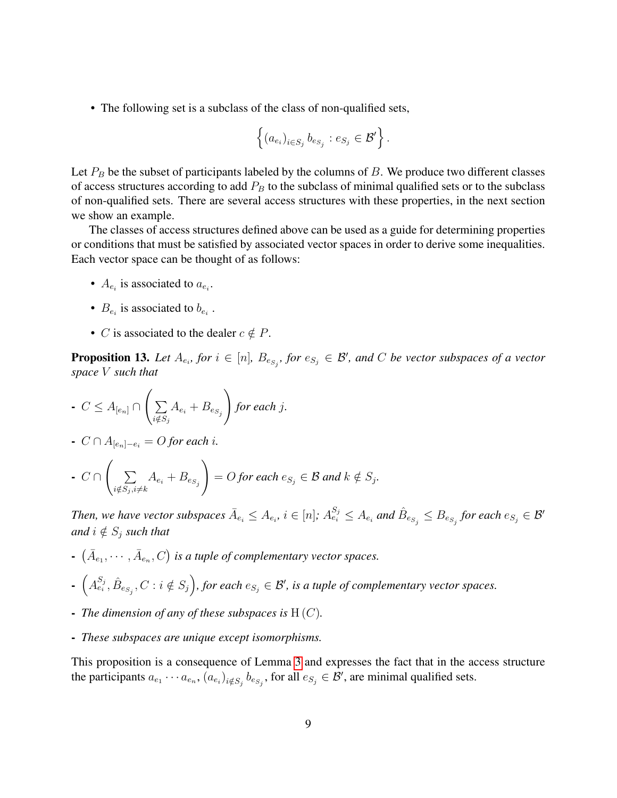• The following set is a subclass of the class of non-qualified sets,

$$
\left\{ (a_{e_i})_{i \in S_j} b_{e_{S_j}} : e_{S_j} \in \mathcal{B}' \right\}.
$$

Let  $P_B$  be the subset of participants labeled by the columns of B. We produce two different classes of access structures according to add  $P_B$  to the subclass of minimal qualified sets or to the subclass of non-qualified sets. There are several access structures with these properties, in the next section we show an example.

The classes of access structures defined above can be used as a guide for determining properties or conditions that must be satisfied by associated vector spaces in order to derive some inequalities. Each vector space can be thought of as follows:

- $A_{e_i}$  is associated to  $a_{e_i}$ .
- $B_{e_i}$  is associated to  $b_{e_i}$ .
- C is associated to the dealer  $c \notin P$ .

**Proposition 13.** Let  $A_{e_i}$ , for  $i \in [n]$ ,  $B_{e_{S_j}}$ , for  $e_{S_j} \in \mathcal{B}'$ , and C be vector subspaces of a vector *space* V *such that*

- 
$$
C \leq A_{[e_n]} \cap \left( \sum_{i \notin S_j} A_{e_i} + B_{e_{S_j}} \right)
$$
 for each j.

- C ∩ A[en]−e<sup>i</sup> = O *for each* i*.*

• 
$$
C \cap \left( \sum_{i \notin S_j, i \neq k} A_{e_i} + B_{e_{S_j}} \right) = O \text{ for each } e_{S_j} \in \mathcal{B} \text{ and } k \notin S_j.
$$

Then, we have vector subspaces  $\bar{A}_{e_i}\leq A_{e_i}$ ,  $i\in[n]$ ;  $A^{S_j}_{e_i}\leq A_{e_i}$  and  $\hat{B}_{e_{S_j}}\leq B_{e_{S_j}}$  for each  $e_{S_j}\in\mathcal{B}'$ *and*  $i \notin S_j$  *such that* 

- $(\bar{A}_{e_1}, \cdots, \bar{A}_{e_n}, C)$  is a tuple of complementary vector spaces.
- $-\left(A_{e_i}^{S_j}, \hat{B}_{e_{S_j}}, C: i \notin S_j\right)$ , for each  $e_{S_j} \in \mathcal{B}'$ , is a tuple of complementary vector spaces.
- *The dimension of any of these subspaces is* H (C)*.*
- *These subspaces are unique except isomorphisms.*

This proposition is a consequence of Lemma [3](#page-3-1) and expresses the fact that in the access structure the participants  $a_{e_1} \cdots a_{e_n}$ ,  $(a_{e_i})_{i \notin S_j}$   $b_{e_{S_j}}$ , for all  $e_{S_j} \in \mathcal{B}'$ , are minimal qualified sets.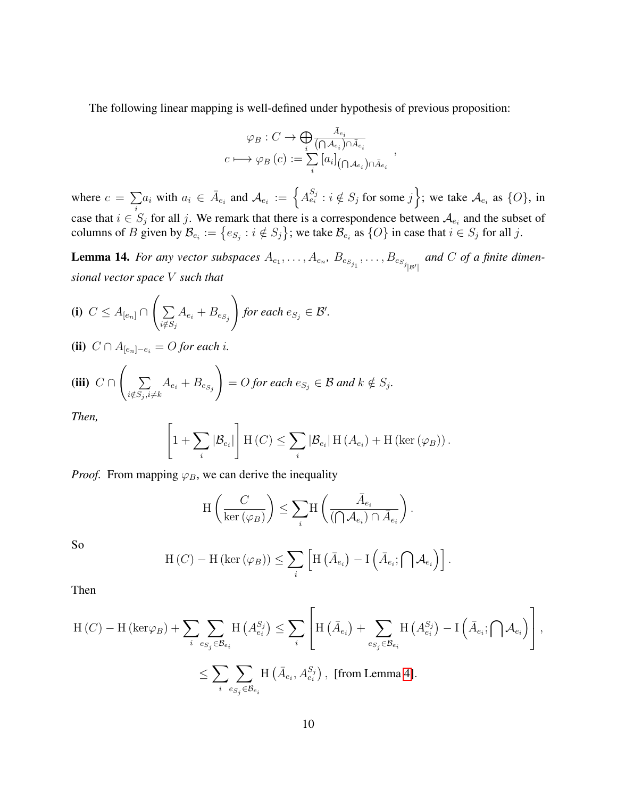The following linear mapping is well-defined under hypothesis of previous proposition:

$$
\varphi_B : C \to \bigoplus_i \frac{\bar{A}_{e_i}}{(\bigcap A_{e_i}) \cap \bar{A}_{e_i}}
$$

$$
c \longmapsto \varphi_B(c) := \sum_i \left[a_i\right]_{(\bigcap A_{e_i}) \cap \bar{A}_{e_i}},
$$

where  $c = \sum a_i$  with  $a_i \in \overline{A}_{e_i}$  and  $\mathcal{A}_{e_i} := \{A_{e_i}^{S_j} : i \notin S_j \text{ for some } j\}$ ; we take  $\mathcal{A}_{e_i}$  as  $\{O\}$ , in case that  $i \in S_j$  for all j. We remark that there is a correspondence between  $A_{e_i}$  and the subset of columns of B given by  $\mathcal{B}_{e_i} := \{e_{S_j} : i \notin S_j\}$ ; we take  $\mathcal{B}_{e_i}$  as  $\{O\}$  in case that  $i \in S_j$  for all j.

<span id="page-9-0"></span>**Lemma 14.** For any vector subspaces  $A_{e_1}, \ldots, A_{e_n}, B_{e_{S_{j_1}}}, \ldots, B_{e_{S_{j_{|S'|}}}}$  and C of a finite dimen*sional vector space* V *such that*

$$
\textbf{(i)}\ \ C \leq A_{[e_n]} \cap \left(\sum_{i \notin S_j} A_{e_i} + B_{e_{S_j}}\right) \text{ for each } e_{S_j} \in \mathcal{B}'.
$$

(ii)  $C ∩ A_{[e_n]-e_i} = O$  *for each i*.

$$
\textbf{(iii)}\ \ C \cap \left(\sum_{i \notin S_j, i \neq k} A_{e_i} + B_{e_{S_j}}\right) = O \text{ for each } e_{S_j} \in \mathcal{B} \text{ and } k \notin S_j.
$$

*Then,*

$$
\left[1+\sum_{i}|\mathcal{B}_{e_i}|\right] \mathrm{H}\left(C\right) \leq \sum_{i}|\mathcal{B}_{e_i}| \mathrm{H}\left(A_{e_i}\right) + \mathrm{H}\left(\ker\left(\varphi_B\right)\right).
$$

*Proof.* From mapping  $\varphi_B$ , we can derive the inequality

$$
\mathrm{H}\left(\frac{C}{\mathrm{ker}\left(\varphi_B\right)}\right) \leq \sum_i \mathrm{H}\left(\frac{\bar{A}_{e_i}}{(\bigcap \mathcal{A}_{e_i}) \cap \bar{A}_{e_i}}\right).
$$

So

$$
H(C) - H(\ker(\varphi_B)) \leq \sum_i \left[ H\left(\bar{A}_{e_i}\right) - I\left(\bar{A}_{e_i}; \bigcap \mathcal{A}_{e_i}\right) \right].
$$

Then

$$
\begin{split} \mathrm{H}\left(C\right)-\mathrm{H}\left(\mathrm{ker}\varphi_{B}\right)+\sum_{i}\sum_{e_{S_{j}}\in\mathcal{B}_{e_{i}}}\mathrm{H}\left(A_{e_{i}}^{S_{j}}\right) &\leq\sum_{i}\left[\mathrm{H}\left(\bar{A}_{e_{i}}\right)+\sum_{e_{S_{j}}\in\mathcal{B}_{e_{i}}}\mathrm{H}\left(A_{e_{i}}^{S_{j}}\right)-\mathrm{I}\left(\bar{A}_{e_{i}};\bigcap\mathcal{A}_{e_{i}}\right)\right],\\ &\leq\sum_{i}\sum_{e_{S_{j}}\in\mathcal{B}_{e_{i}}}\mathrm{H}\left(\bar{A}_{e_{i}},A_{e_{i}}^{S_{j}}\right),\text{ [from Lemma 4].} \end{split}
$$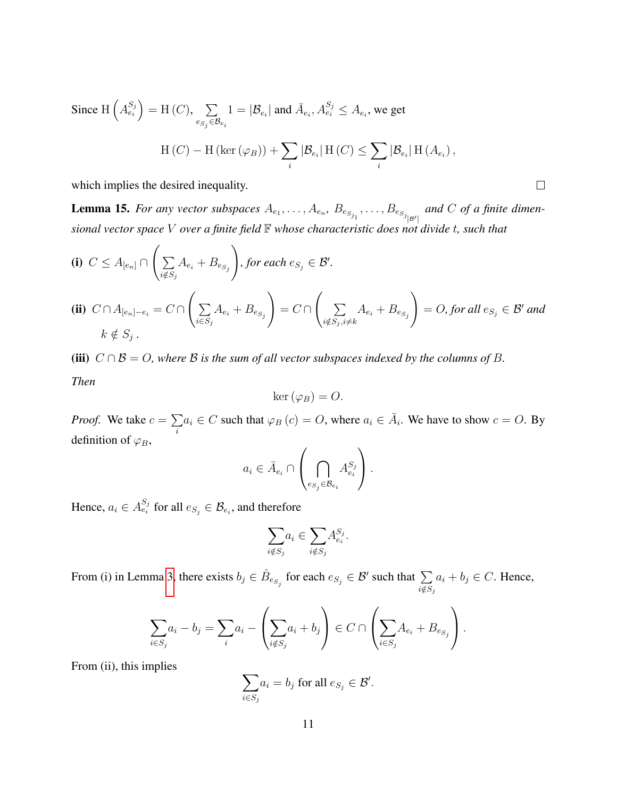Since  $H\left(A_{e_i}^{S_j}\right) = H\left(C\right), \quad \sum$  $e_{S_j} \in \mathcal{B}_{e_i}$  $1 = |\mathcal{B}_{e_i}|$  and  $\bar{A}_{e_i}, A_{e_i}^{S_j} \leq A_{e_i}$ , we get  $H(C) - H(\ker(\varphi_B)) + \sum$ i  $|\mathcal{B}_{e_i}| \text{ H } (C) \leq \sum$ i  $|\mathcal{B}_{e_i}| \mathop{\text{H}} (A_{e_i}),$ 

which implies the desired inequality.

<span id="page-10-0"></span>**Lemma 15.** For any vector subspaces  $A_{e_1}, \ldots, A_{e_n}, B_{e_{S_{j_1}}}, \ldots, B_{e_{S_{j_{|S'|}}}}$  and C of a finite dimen*sional vector space* V *over a finite field* F *whose characteristic does not divide* t*, such that*

$$
\textbf{(i)}\ \ C \leq A_{[e_n]} \cap \left( \sum_{i \notin S_j} A_{e_i} + B_{e_{S_j}} \right), \text{ for each } e_{S_j} \in \mathcal{B}'.
$$

$$
\textbf{(ii)}\ \ C \cap A_{[e_n] - e_i} = C \cap \left( \sum_{i \in S_j} A_{e_i} + B_{e_{S_j}} \right) = C \cap \left( \sum_{i \notin S_j, i \neq k} A_{e_i} + B_{e_{S_j}} \right) = O, \text{ for all } e_{S_j} \in \mathcal{B}' \text{ and }
$$
\n
$$
k \notin S_j \, .
$$

(iii)  $C \cap B = O$ , where B is the sum of all vector subspaces indexed by the columns of B. *Then*

$$
\ker\left(\varphi_B\right)=O.
$$

*Proof.* We take  $c = \sum$ i  $a_i \in C$  such that  $\varphi_B(c) = O$ , where  $a_i \in \overline{A}_i$ . We have to show  $c = O$ . By definition of  $\varphi_B$ ,

$$
a_i \in \bar{A}_{e_i} \cap \left(\bigcap_{e_{S_j} \in \mathcal{B}_{e_i}} A_{e_i}^{S_j}\right).
$$

Hence,  $a_i \in A_{e_i}^{S_j}$  for all  $e_{S_j} \in \mathcal{B}_{e_i}$ , and therefore

$$
\sum_{i \notin S_j} a_i \in \sum_{i \notin S_j} A_{e_i}^{S_j}.
$$

From (i) in Lemma [3,](#page-3-1) there exists  $b_j \in \hat{B}_{e_{S_j}}$  for each  $e_{S_j} \in \mathcal{B}'$  such that  $\sum_{i=1}^{\infty}$  $i \notin S_j$  $a_i + b_j \in C$ . Hence,

$$
\sum_{i \in S_j} a_i - b_j = \sum_i a_i - \left(\sum_{i \notin S_j} a_i + b_j\right) \in C \cap \left(\sum_{i \in S_j} A_{e_i} + B_{e_{S_j}}\right).
$$

From (ii), this implies

$$
\sum_{i \in S_j} a_i = b_j \text{ for all } e_{S_j} \in \mathcal{B}'.
$$

 $\Box$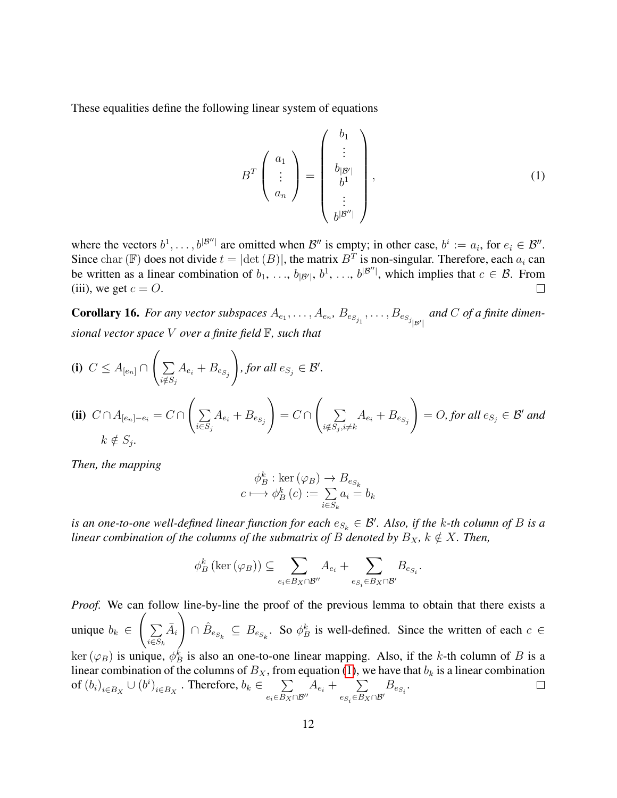These equalities define the following linear system of equations

<span id="page-11-0"></span>
$$
B^{T}\left(\begin{array}{c} a_{1} \\ \vdots \\ a_{n} \end{array}\right) = \left(\begin{array}{c} b_{1} \\ \vdots \\ b_{|\mathcal{B}'|} \\ \vdots \\ b^{|\mathcal{B}''|} \end{array}\right),\tag{1}
$$

where the vectors  $b^1, \ldots, b^{|\mathcal{B}''|}$  are omitted when  $\mathcal{B}''$  is empty; in other case,  $b^i := a_i$ , for  $e_i \in \mathcal{B}''$ . Since char (F) does not divide  $t = |\text{det}(B)|$ , the matrix  $B<sup>T</sup>$  is non-singular. Therefore, each  $a_i$  can be written as a linear combination of  $b_1, \ldots, b_{|\mathcal{B}'|}, b^1, \ldots, b^{|\mathcal{B}''|}$ , which implies that  $c \in \mathcal{B}$ . From (iii), we get  $c = O$ .  $\perp$ 

<span id="page-11-1"></span>**Corollary 16.** For any vector subspaces  $A_{e_1}, \ldots, A_{e_n}, B_{e_{S_{j_1}}}, \ldots, B_{e_{S_{j_{|\mathcal{B}'|}}}}$  and C of a finite dimen*sional vector space* V *over a finite field* F*, such that*

(i) 
$$
C \leq A_{[e_n]} \cap \left(\sum_{i \notin S_j} A_{e_i} + B_{e_{S_j}}\right)
$$
, for all  $e_{S_j} \in \mathcal{B}'$ .  
\n(ii)  $C \cap A_{[e_n]-e_i} = C \cap \left(\sum_{i \in S_j} A_{e_i} + B_{e_{S_j}}\right) = C \cap \left(\sum_{i \notin S_j, i \neq k} A_{e_i} + B_{e_{S_j}}\right) = O$ , for all  $e_{S_j} \in \mathcal{B}'$  and  $k \notin S_j$ .

*Then, the mapping*

$$
\phi_B^k : \ker(\varphi_B) \to B_{e_{S_k}}
$$
  

$$
c \longmapsto \phi_B^k(c) := \sum_{i \in S_k} a_i = b_k
$$

*is an one-to-one well-defined linear function for each*  $e_{S_k} \in \mathcal{B}'$ . Also, if the k-th column of B is a *linear combination of the columns of the submatrix of* B *denoted by*  $B_X$ ,  $k \notin X$ . Then,

$$
\phi_B^k\left(\ker\left(\varphi_B\right)\right) \subseteq \sum_{e_i \in B_X \cap \mathcal{B}''} A_{e_i} + \sum_{e_{S_i} \in B_X \cap \mathcal{B}'} B_{e_{S_i}}.
$$

*Proof.* We can follow line-by-line the proof of the previous lemma to obtain that there exists a unique  $b_k \in$  $\sqrt{ }$  $\sum$  $i \in S_k$  $\bar{A}_i$  $\setminus$  $\cap$   $\hat{B}_{e_{S_k}} \subseteq B_{e_{S_k}}$ . So  $\phi_B^k$  is well-defined. Since the written of each  $c \in$  $\ker(\varphi_B)$  is unique,  $\phi_B^k$  is also an one-to-one linear mapping. Also, if the k-th column of B is a linear combination of the columns of  $B_X$ , from equation [\(1\)](#page-11-0), we have that  $b_k$  is a linear combination of  $(b_i)_{i \in B_X} \cup (b^i)_{i \in B_X}$  . Therefore,  $b_k \in \sum_{\Delta}$  $e_i \in B_X \cap \mathcal{B}''$  $A_{e_i} + \sum$  $\sum_{e_{S_i}\in B_X\cap\mathcal{B}'} B_{e_{S_i}}.$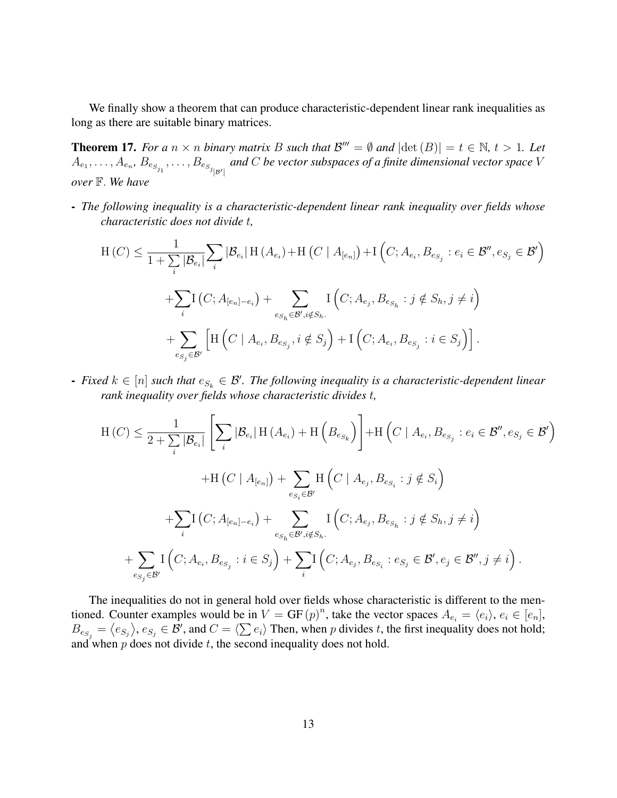We finally show a theorem that can produce characteristic-dependent linear rank inequalities as long as there are suitable binary matrices.

<span id="page-12-0"></span>**Theorem 17.** For a  $n \times n$  binary matrix B such that  $\mathcal{B}^{\prime\prime\prime} = \emptyset$  and  $|\text{det}(B)| = t \in \mathbb{N}, t > 1$ . Let  $A_{e_1},\ldots,A_{e_n},$   $B_{e_{S_{j_1}}},\ldots,B_{e_{S_{j_{|B'|}}}}$  and  $C$  be vector subspaces of a finite dimensional vector space  $V$ *over* F. *We have*

- *The following inequality is a characteristic-dependent linear rank inequality over fields whose characteristic does not divide* t*,*

$$
H(C) \leq \frac{1}{1 + \sum_{i} |\mathcal{B}_{e_i}|} \sum_{i} |\mathcal{B}_{e_i}| H(A_{e_i}) + H(C | A_{[e_n]}) + I(C; A_{e_i}, B_{e_{S_j}} : e_i \in \mathcal{B}'', e_{S_j} \in \mathcal{B}' )
$$
  
+
$$
\sum_{i} I(C; A_{[e_n] - e_i}) + \sum_{e_{S_h} \in \mathcal{B}', i \notin S_h} I(C; A_{e_j}, B_{e_{S_h}} : j \notin S_h, j \neq i)
$$
  
+
$$
\sum_{e_{S_j} \in \mathcal{B}'} \left[ H(C | A_{e_i}, B_{e_{S_j}}, i \notin S_j) + I(C; A_{e_i}, B_{e_{S_j}} : i \in S_j) \right].
$$

**-** Fixed  $k \in [n]$  such that  $e_{S_k} \in \mathcal{B}'$ . The following inequality is a characteristic-dependent linear *rank inequality over fields whose characteristic divides* t*,*

$$
H(C) \leq \frac{1}{2 + \sum_{i} |\mathcal{B}_{e_i}|} \left[ \sum_{i} |\mathcal{B}_{e_i}| H(A_{e_i}) + H(B_{e_{S_k}}) \right] + H(C | A_{e_i}, B_{e_{S_j}} : e_i \in \mathcal{B}'', e_{S_j} \in \mathcal{B}' )
$$
  
+ 
$$
H(C | A_{[e_n]}) + \sum_{e_{S_i} \in \mathcal{B}'} H(C | A_{e_j}, B_{e_{S_i}} : j \notin S_i)
$$
  
+ 
$$
\sum_{i} I(C; A_{[e_n] - e_i}) + \sum_{e_{S_h} \in \mathcal{B}', i \notin S_h} I(C; A_{e_j}, B_{e_{S_h}} : j \notin S_h, j \neq i)
$$
  
+ 
$$
\sum_{e_{S_j} \in \mathcal{B}'} I(C; A_{e_i}, B_{e_{S_j}} : i \in S_j) + \sum_{i} I(C; A_{e_j}, B_{e_{S_i}} : e_{S_j} \in \mathcal{B}', e_j \in \mathcal{B}'', j \neq i).
$$

The inequalities do not in general hold over fields whose characteristic is different to the mentioned. Counter examples would be in  $V = GF(p)^n$ , take the vector spaces  $A_{e_i} = \langle e_i \rangle, e_i \in [e_n],$  $B_{e_{S_j}} = \langle e_{S_j} \rangle, e_{S_j} \in \mathcal{B}'$ , and  $C = \langle \sum e_i \rangle$  Then, when p divides t, the first inequality does not hold; and when  $p$  does not divide  $t$ , the second inequality does not hold.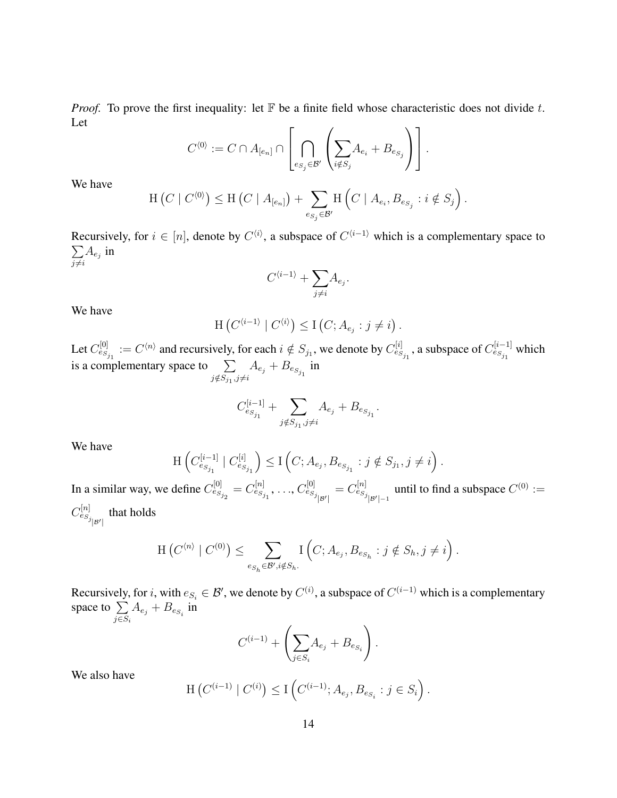*Proof.* To prove the first inequality: let  $\mathbb F$  be a finite field whose characteristic does not divide t. Let

$$
C^{\langle 0 \rangle} := C \cap A_{[e_n]} \cap \left[ \bigcap_{e_{S_j} \in \mathcal{B}'} \left( \sum_{i \notin S_j} A_{e_i} + B_{e_{S_j}} \right) \right].
$$

We have

$$
\mathrm{H}\left(C \mid C^{\langle 0 \rangle}\right) \leq \mathrm{H}\left(C \mid A_{[e_n]}\right) + \sum_{e_{S_j} \in \mathcal{B}'} \mathrm{H}\left(C \mid A_{e_i}, B_{e_{S_j}} : i \notin S_j\right).
$$

Recursively, for  $i \in [n]$ , denote by  $C^{(i)}$ , a subspace of  $C^{(i-1)}$  which is a complementary space to  $\sum$  $\sum_{j\neq i} A_{e_j}$  in

$$
C^{\langle i-1\rangle} + \sum_{j\neq i} A_{e_j}.
$$

We have

$$
\mathrm{H}\left(C^{\langle i-1\rangle}\mid C^{\langle i\rangle}\right)\leq\mathrm{I}\left(C;A_{e_j}:j\neq i\right).
$$

Let  $C_{e_{S_{j_1}}}^{[0]} := C^{(n)}$  and recursively, for each  $i \notin S_{j_1}$ , we denote by  $C_{e_{S_{j_1}}}^{[i]}$ , a subspace of  $C_{e_{S_{j_1}}}^{[i-1]}$  which is a complementary space to  $\sum$  $\sum\limits_{j \notin S_{j_1}, j \neq i}A_{e_j}+B_{e_{S_{j_1}}}$  in

$$
C_{e_{S_{j_1}}}^{[i-1]} + \sum_{j \notin S_{j_1}, j \neq i} A_{e_j} + B_{e_{S_{j_1}}}.
$$

We have

$$
\mathrm{H}\left(C_{e_{S_{j_1}}}^{[i-1]} \mid C_{e_{S_{j_1}}}^{[i]}\right) \leq \mathrm{I}\left(C; A_{e_j}, B_{e_{S_{j_1}}} : j \notin S_{j_1}, j \neq i\right).
$$

In a similar way, we define  $C_{e_{S_{j_2}}}^{[0]} = C_{e_{S_{j_1}}}^{[n]}, \ldots, C_{e_{S_{j_{|\mathcal{B}'|}}}}^{[0]} = C_{e_{S_{j_{|\mathcal{B}'|}-1}}}^{[n]}$  until to find a subspace  $C^{(0)} :=$  $C^{[n]}_{e_{S_j}|_{\mathcal{B}'}|}$  that holds

$$
\mathrm{H}\left(C^{\langle n\rangle} \mid C^{(0)}\right) \leq \sum_{e_{S_h} \in \mathcal{B}', i \notin S_h} \mathrm{I}\left(C; A_{e_j}, B_{e_{S_h}} : j \notin S_h, j \neq i\right).
$$

Recursively, for i, with  $e_{S_i} \in \mathcal{B}'$ , we denote by  $C^{(i)}$ , a subspace of  $C^{(i-1)}$  which is a complementary space to  $\Sigma$  $\sum_{j\in S_i}A_{e_j}+B_{e_{S_i}}$  in

$$
C^{(i-1)} + \left(\sum_{j \in S_i} A_{e_j} + B_{e_{S_i}}\right).
$$

We also have

$$
\mathrm{H}\left(C^{(i-1)}\mid C^{(i)}\right) \leq \mathrm{I}\left(C^{(i-1)}; A_{e_j}, B_{e_{S_i}} : j \in S_i\right).
$$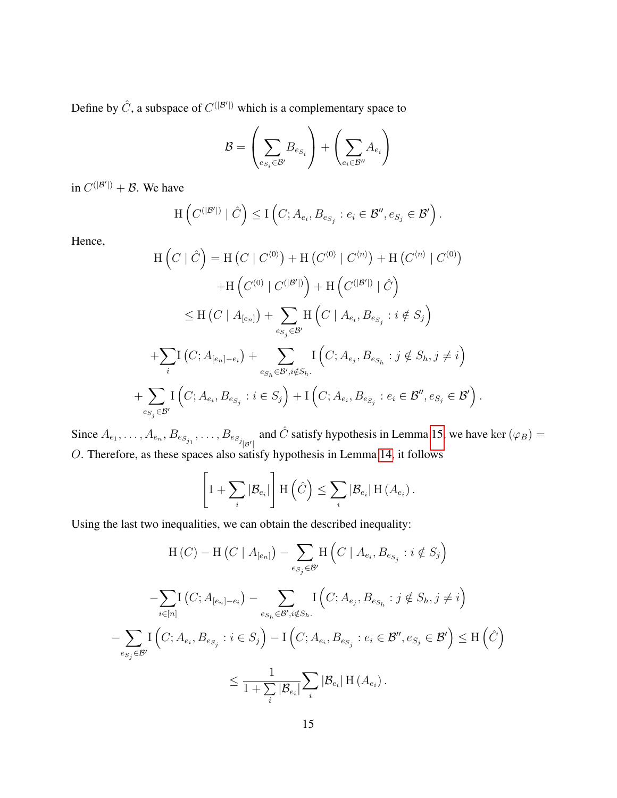Define by  $\hat{C}$ , a subspace of  $C^{(|B'|)}$  which is a complementary space to

$$
\mathcal{B} = \left(\sum_{e_{S_i} \in \mathcal{B}'} B_{e_{S_i}}\right) + \left(\sum_{e_i \in \mathcal{B}''} A_{e_i}\right)
$$

in  $C^{(|\mathcal{B}'|)} + \mathcal{B}$ . We have

$$
\mathrm{H}\left(C^{(|\mathcal{B}'|)}\mid \hat{C}\right) \leq \mathrm{I}\left(C; A_{e_i}, B_{e_{S_j}}: e_i \in \mathcal{B}'', e_{S_j} \in \mathcal{B}'\right).
$$

Hence,

$$
H\left(C \mid \hat{C}\right) = H\left(C \mid C^{\langle 0 \rangle}\right) + H\left(C^{\langle 0 \rangle} \mid C^{\langle n \rangle}\right) + H\left(C^{\langle n \rangle} \mid C^{\langle 0 \rangle}\right) + H\left(C^{\langle 0 \rangle} \mid C^{\langle |B' \rangle}\right) + H\left(C^{\langle |B' \rangle} \mid \hat{C}\right) \leq H\left(C \mid A_{[e_n]}\right) + \sum_{e_{S_j} \in \mathcal{B}'} H\left(C \mid A_{e_i}, B_{e_{S_j}} : i \notin S_j\right) + \sum_{i} I\left(C; A_{[e_n] - e_i}\right) + \sum_{e_{S_h} \in \mathcal{B}', i \notin S_h} I\left(C; A_{e_j}, B_{e_{S_h}} : j \notin S_h, j \neq i\right) + \sum_{e_{S_j} \in \mathcal{B}'} I\left(C; A_{e_i}, B_{e_{S_j}} : i \in S_j\right) + I\left(C; A_{e_i}, B_{e_{S_j}} : e_i \in \mathcal{B}'', e_{S_j} \in \mathcal{B}'\right).
$$

Since  $A_{e_1}, \ldots, A_{e_n}, B_{e_{S_{j_1}}}, \ldots, B_{e_{S_{j_{|\mathcal{B}'|}}}}$  and  $\hat{C}$  satisfy hypothesis in Lemma [15,](#page-10-0) we have ker  $(\varphi_B)$  = O. Therefore, as these spaces also satisfy hypothesis in Lemma [14,](#page-9-0) it follows

$$
\left[1+\sum_i|\mathcal{B}_{e_i}|\right]\mathrm{H}\left(\hat{C}\right)\leq \sum_i|\mathcal{B}_{e_i}|\,\mathrm{H}\left(A_{e_i}\right).
$$

Using the last two inequalities, we can obtain the described inequality:

$$
H(C) - H(C | A_{[e_n]}) - \sum_{e_{S_j} \in \mathcal{B}'} H(C | A_{e_i}, B_{e_{S_j}} : i \notin S_j)
$$
  

$$
- \sum_{i \in [n]} I(C; A_{[e_n] - e_i}) - \sum_{e_{S_h} \in \mathcal{B}', i \notin S_h} I(C; A_{e_j}, B_{e_{S_h}} : j \notin S_h, j \neq i)
$$
  

$$
- \sum_{e_{S_j} \in \mathcal{B}'} I(C; A_{e_i}, B_{e_{S_j}} : i \in S_j) - I(C; A_{e_i}, B_{e_{S_j}} : e_i \in \mathcal{B}'', e_{S_j} \in \mathcal{B}') \leq H(C)
$$
  

$$
\leq \frac{1}{1 + \sum_i |\mathcal{B}_{e_i}|} \sum_i |\mathcal{B}_{e_i}| H(A_{e_i}).
$$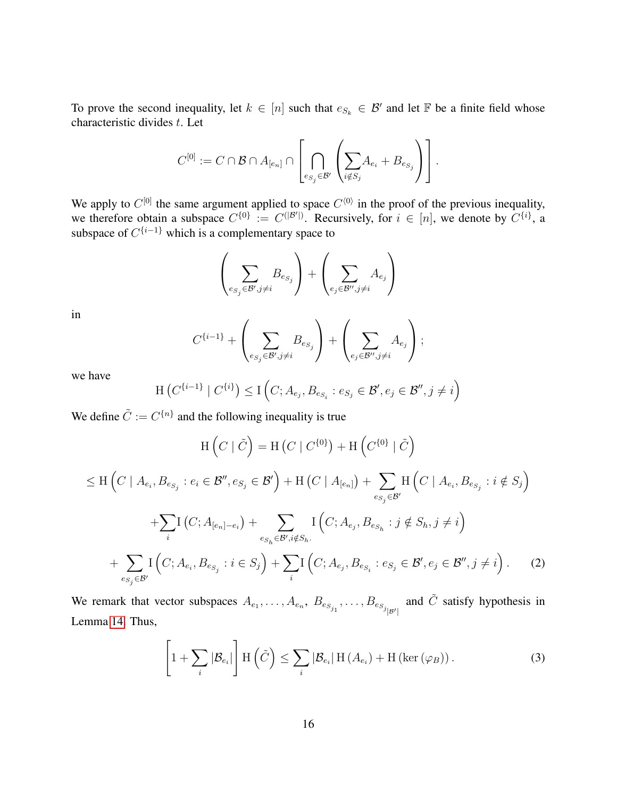To prove the second inequality, let  $k \in [n]$  such that  $e_{S_k} \in \mathcal{B}'$  and let  $\mathbb F$  be a finite field whose characteristic divides t. Let

$$
C^{[0]}:= C \cap \mathcal{B} \cap A_{[e_n]} \cap \left[ \bigcap_{e_{S_j} \in \mathcal{B}'} \left( \sum_{i \notin S_j} \hspace{-0.1cm} A_{e_i} + B_{e_{S_j}} \right) \right].
$$

We apply to  $C^{[0]}$  the same argument applied to space  $C^{(0)}$  in the proof of the previous inequality, we therefore obtain a subspace  $C^{\{0\}} := C^{(|B'|)}$ . Recursively, for  $i \in [n]$ , we denote by  $C^{\{i\}}$ , a subspace of  $C^{\{i-1\}}$  which is a complementary space to

$$
\left(\sum_{e_{S_j} \in \mathcal{B}', j \neq i} B_{e_{S_j}}\right) + \left(\sum_{e_j \in \mathcal{B}'', j \neq i} A_{e_j}\right)
$$

in

$$
C^{\{i-1\}}+\left(\sum_{e_{S_j}\in \mathcal{B}', j\neq i} B_{e_{S_j}}\right)+\left(\sum_{e_j\in \mathcal{B}'', j\neq i} A_{e_j}\right);
$$

we have

$$
\mathrm{H}\left(C^{\{i-1\}}\mid C^{\{i\}}\right) \leq \mathrm{I}\left(C; A_{e_j}, B_{e_{S_i}}: e_{S_j} \in \mathcal{B}', e_j \in \mathcal{B}'', j \neq i\right)
$$

We define  $\tilde{C} := C^{\{n\}}$  and the following inequality is true

$$
H\left(C \mid \tilde{C}\right) = H\left(C \mid C^{\{0\}}\right) + H\left(C^{\{0\}} \mid \tilde{C}\right)
$$
  
\n
$$
\leq H\left(C \mid A_{e_i}, B_{e_{S_j}} : e_i \in \mathcal{B}'', e_{S_j} \in \mathcal{B}'\right) + H\left(C \mid A_{[e_n]}\right) + \sum_{e_{S_j} \in \mathcal{B}'} H\left(C \mid A_{e_i}, B_{e_{S_j}} : i \notin S_j\right)
$$
  
\n
$$
+ \sum_{i} I\left(C; A_{[e_n] - e_i}\right) + \sum_{e_{S_h} \in \mathcal{B}', i \notin S_h} I\left(C; A_{e_j}, B_{e_{S_h}} : j \notin S_h, j \neq i\right)
$$
  
\n
$$
+ \sum_{e_{S_j} \in \mathcal{B}'} I\left(C; A_{e_i}, B_{e_{S_j}} : i \in S_j\right) + \sum_{i} I\left(C; A_{e_j}, B_{e_{S_i}} : e_{S_j} \in \mathcal{B}', e_j \in \mathcal{B}'', j \neq i\right).
$$
 (2)

<span id="page-15-1"></span>We remark that vector subspaces  $A_{e_1}, \ldots, A_{e_n}, B_{e_{S_{j_1}}}, \ldots, B_{e_{S_{j_{|\mathcal{B}'|}}}}$  and  $\tilde{C}$  satisfy hypothesis in Lemma [14.](#page-9-0) Thus,

<span id="page-15-0"></span>
$$
\left[1 + \sum_{i} |\mathcal{B}_{e_i}| \right] \mathcal{H}(\tilde{C}) \leq \sum_{i} |\mathcal{B}_{e_i}| \mathcal{H}(A_{e_i}) + \mathcal{H}(\ker(\varphi_B)). \tag{3}
$$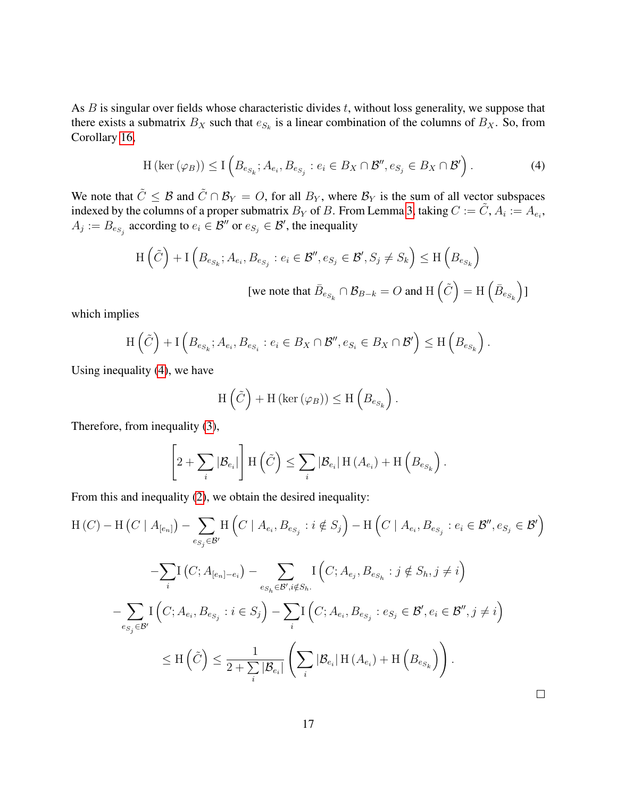As  $B$  is singular over fields whose characteristic divides  $t$ , without loss generality, we suppose that there exists a submatrix  $B_X$  such that  $e_{S_k}$  is a linear combination of the columns of  $B_X$ . So, from Corollary [16,](#page-11-1)

<span id="page-16-0"></span>
$$
H\left(\ker\left(\varphi_B\right)\right) \leq I\left(B_{e_{S_k}}; A_{e_i}, B_{e_{S_j}}: e_i \in B_X \cap \mathcal{B}'', e_{S_j} \in B_X \cap \mathcal{B}'\right). \tag{4}
$$

We note that  $\tilde{C} \leq \mathcal{B}$  and  $\tilde{C} \cap \mathcal{B}_Y = O$ , for all  $B_Y$ , where  $\mathcal{B}_Y$  is the sum of all vector subspaces indexed by the columns of a proper submatrix  $B_Y$  of B. From Lemma [3,](#page-3-1) taking  $C := \tilde{C}$ ,  $A_i := A_{e_i}$ ,  $A_j := B_{e_{S_j}}$  according to  $e_i \in \mathcal{B}''$  or  $e_{S_j} \in \mathcal{B}'$ , the inequality

$$
\begin{aligned} \mathrm{H}\left(\tilde{C}\right) + \mathrm{I}\left(B_{e_{S_k}}; A_{e_i}, B_{e_{S_j}}: e_i \in \mathcal{B}'', e_{S_j} \in \mathcal{B}', S_j \neq S_k\right) &\leq \mathrm{H}\left(B_{e_{S_k}}\right) \\ &\quad \text{[we note that } \bar{B}_{e_{S_k}} \cap \mathcal{B}_{B-k} = O \text{ and } \mathrm{H}\left(\tilde{C}\right) = \mathrm{H}\left(\bar{B}_{e_{S_k}}\right) \mathrm{I} \end{aligned}
$$

which implies

$$
\mathrm{H}\left(\tilde{C}\right) + \mathrm{I}\left(B_{e_{S_k}}; A_{e_i}, B_{e_{S_i}}: e_i \in B_X \cap \mathcal{B}'', e_{S_i} \in B_X \cap \mathcal{B}'\right) \le \mathrm{H}\left(B_{e_{S_k}}\right).
$$

Using inequality [\(4\)](#page-16-0), we have

$$
H\left(\tilde{C}\right) + H\left(\ker\left(\varphi_B\right)\right) \le H\left(B_{e_{S_k}}\right).
$$

Therefore, from inequality [\(3\)](#page-15-0),

$$
\left[2+\sum_{i}|\mathcal{B}_{e_i}|\right] \mathrm{H}\left(\tilde{C}\right) \leq \sum_{i}|\mathcal{B}_{e_i}| \mathrm{H}\left(A_{e_i}\right) + \mathrm{H}\left(B_{e_{S_k}}\right).
$$

From this and inequality [\(2\)](#page-15-1), we obtain the desired inequality:

$$
H(C) - H(C | A_{[e_n]}) - \sum_{e_{S_j} \in \mathcal{B}'} H(C | A_{e_i}, B_{e_{S_j}} : i \notin S_j) - H(C | A_{e_i}, B_{e_{S_j}} : e_i \in \mathcal{B}'', e_{S_j} \in \mathcal{B}')
$$
  

$$
- \sum_{i} I(C; A_{[e_n] - e_i}) - \sum_{e_{S_h} \in \mathcal{B}', i \notin S_h} I(C; A_{e_j}, B_{e_{S_h}} : j \notin S_h, j \neq i)
$$
  

$$
- \sum_{e_{S_j} \in \mathcal{B}'} I(C; A_{e_i}, B_{e_{S_j}} : i \in S_j) - \sum_{i} I(C; A_{e_i}, B_{e_{S_j}} : e_{S_j} \in \mathcal{B}', e_i \in \mathcal{B}'', j \neq i)
$$
  

$$
\leq H(\tilde{C}) \leq \frac{1}{2 + \sum_{i} |\mathcal{B}_{e_i}|} \left( \sum_{i} |\mathcal{B}_{e_i}| H(A_{e_i}) + H(B_{e_{S_k}}) \right).
$$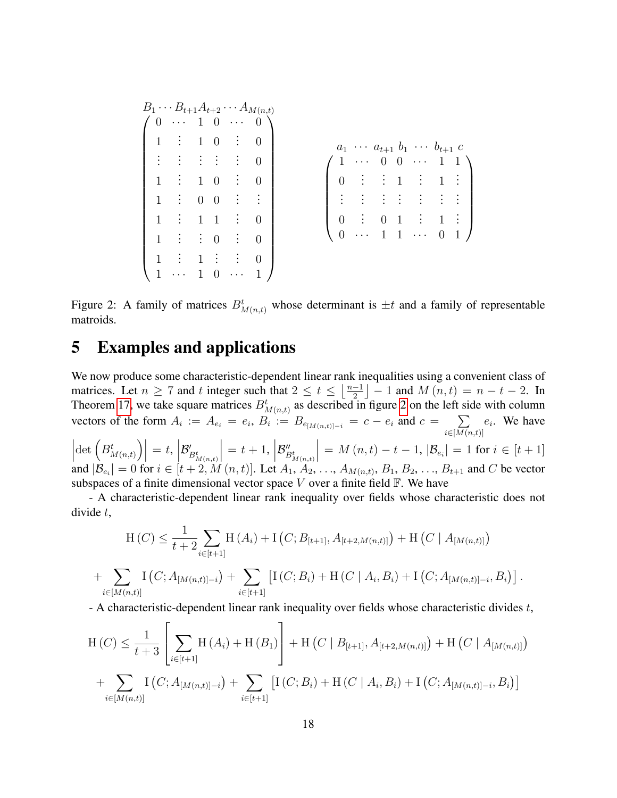| $B_1 \cdots B_{t+1} A_{t+2} \cdots A_{M(n,t)}$                                            |  |               |                     |  |              |                                                                                                               |                                                                                                                                     |
|-------------------------------------------------------------------------------------------|--|---------------|---------------------|--|--------------|---------------------------------------------------------------------------------------------------------------|-------------------------------------------------------------------------------------------------------------------------------------|
| $\sim$ $\sim$ $\sim$                                                                      |  |               | $\cdots$ 0 \        |  |              |                                                                                                               |                                                                                                                                     |
| 1 : 1 0 : 0                                                                               |  |               |                     |  |              | $a_1 \cdots a_{t+1} b_1 \cdots b_{t+1} c$                                                                     |                                                                                                                                     |
| $\vert \hspace{.1cm} \vert$ : $\vert \hspace{.1cm} \vert$ : $\vert \hspace{.1cm} \vert$ : |  |               | $\vdots$ $\vdots$ 0 |  | $\cdots$ 0 0 |                                                                                                               | $\cdots$ 1 1 \                                                                                                                      |
| 1 : 1 0 : 0                                                                               |  |               |                     |  |              | $\begin{pmatrix} 0 & \vdots & \vdots & 1 & \vdots & 1 \end{pmatrix}$                                          | $\vdots$                                                                                                                            |
| $1$ $\vdots$ 0 0 $\vdots$                                                                 |  |               |                     |  |              | $\frac{1}{2}$ : $\frac{1}{2}$ : $\frac{1}{2}$ : $\frac{1}{2}$ : $\frac{1}{2}$ : $\frac{1}{2}$ : $\frac{1}{2}$ |                                                                                                                                     |
| $1 \quad \vdots \quad 1 \quad 1 \quad \vdots \quad 0$                                     |  |               |                     |  |              |                                                                                                               | $\left(\begin{array}{ccccccccc} 0 & \vdots & 0 & 1 & \vdots & 1 & \vdots \\ 0 & \cdots & 1 & 1 & \cdots & 0 & 1 \end{array}\right)$ |
| $1$ : $\vdots$ 0 :                                                                        |  |               | $\overline{0}$      |  |              |                                                                                                               |                                                                                                                                     |
| $\mathbf{1}$                                                                              |  | $1 \div \div$ | $\overline{0}$      |  |              |                                                                                                               |                                                                                                                                     |
|                                                                                           |  | $\ddotsc$     |                     |  |              |                                                                                                               |                                                                                                                                     |

<span id="page-17-0"></span>Figure 2: A family of matrices  $B_{M(n,t)}^t$  whose determinant is  $\pm t$  and a family of representable matroids.

### 5 Examples and applications

We now produce some characteristic-dependent linear rank inequalities using a convenient class of matrices. Let  $n \geq 7$  and t integer such that  $2 \leq t \leq \left\lfloor \frac{n-1}{2} \right\rfloor$  $\frac{-1}{2}$  | – 1 and  $M(n, t) = n - t - 2$ . In Theorem [17,](#page-12-0) we take square matrices  $B_{M(n,t)}^t$  as described in figure [2](#page-17-0) on the left side with column vectors of the form  $A_i := A_{e_i} = e_i$ ,  $B_i := B_{e_{[M(n,t)]-i}} = c - e_i$  and  $c = \sum_{i=1}^{n} a_i$  $i \in$ [ $M(n,t)$ ]  $e_i$ . We have  $\begin{array}{c} \begin{array}{c} \begin{array}{c} \end{array} \\ \begin{array}{c} \end{array} \end{array} \end{array}$  $\left| \det \left( B^t_{M(n,t)} \right) \right| = t,$  $\mathcal{B}'_{B^t_{M(n,t)}}$  $= t + 1,$  $\mathcal{B}''_{B^t_{M(n,t)}}$  $= M(n, t) - t - 1, |\mathcal{B}_{e_i}| = 1 \text{ for } i \in [t + 1]$ 

and  $|\mathcal{B}_{e_i}| = 0$  for  $i \in [t+2, M(n, t)]$ . Let  $A_1, A_2, ..., A_{M(n, t)}, B_1, B_2, ..., B_{t+1}$  and C be vector subspaces of a finite dimensional vector space  $V$  over a finite field  $\mathbb{F}$ . We have

- A characteristic-dependent linear rank inequality over fields whose characteristic does not divide t,

$$
H(C) \leq \frac{1}{t+2} \sum_{i \in [t+1]} H(A_i) + I(C; B_{[t+1]}, A_{[t+2,M(n,t)]}) + H(C | A_{[M(n,t)]})
$$
  
+ 
$$
\sum_{i \in [M(n,t)]} I(C; A_{[M(n,t)]-i}) + \sum_{i \in [t+1]} [I(C; B_i) + H(C | A_i, B_i) + I(C; A_{[M(n,t)]-i}, B_i)].
$$

- A characteristic-dependent linear rank inequality over fields whose characteristic divides t,

$$
H(C) \leq \frac{1}{t+3} \left[ \sum_{i \in [t+1]} H(A_i) + H(B_1) \right] + H(C | B_{[t+1]}, A_{[t+2,M(n,t)]}) + H(C | A_{[M(n,t)]})
$$
  
+ 
$$
\sum_{i \in [M(n,t)]} I(C; A_{[M(n,t)]-i}) + \sum_{i \in [t+1]} [I(C; B_i) + H(C | A_i, B_i) + I(C; A_{[M(n,t)]-i}, B_i)]
$$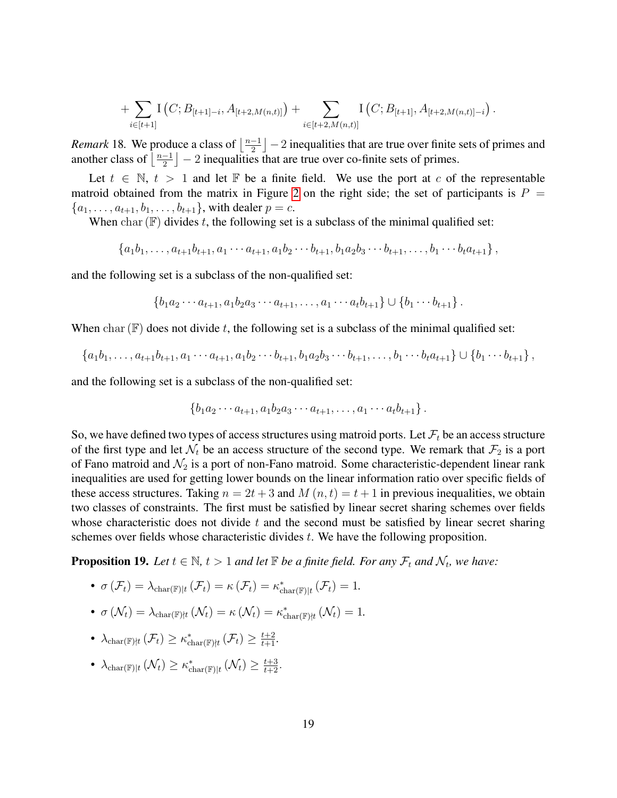+ 
$$
\sum_{i\in[t+1]} \mathcal{I}(C; B_{[t+1]-i}, A_{[t+2,M(n,t)]}) + \sum_{i\in[t+2,M(n,t)]} \mathcal{I}(C; B_{[t+1]}, A_{[t+2,M(n,t)]-i}).
$$

*Remark* 18. We produce a class of  $\left\lfloor \frac{n-1}{2} \right\rfloor$  $\frac{-1}{2}$   $\left[-2\right]$  inequalities that are true over finite sets of primes and another class of  $\frac{n-1}{2}$  $\frac{-1}{2}$   $\big]$  – 2 inequalities that are true over co-finite sets of primes.

Let  $t \in \mathbb{N}$ ,  $t > 1$  and let  $\mathbb F$  be a finite field. We use the port at c of the representable matroid obtained from the matrix in Figure [2](#page-17-0) on the right side; the set of participants is  $P =$  ${a_1, \ldots, a_{t+1}, b_1, \ldots, b_{t+1}}$ , with dealer  $p = c$ .

When char  $(\mathbb{F})$  divides t, the following set is a subclass of the minimal qualified set:

$$
\{a_1b_1,\ldots,a_{t+1}b_{t+1},a_1\cdots a_{t+1},a_1b_2\cdots b_{t+1},b_1a_2b_3\cdots b_{t+1},\ldots,b_1\cdots b_{t}a_{t+1}\},\,
$$

and the following set is a subclass of the non-qualified set:

$$
\{b_1a_2\cdots a_{t+1}, a_1b_2a_3\cdots a_{t+1}, \ldots, a_1\cdots a_t b_{t+1}\} \cup \{b_1\cdots b_{t+1}\}.
$$

When char  $(\mathbb{F})$  does not divide t, the following set is a subclass of the minimal qualified set:

$$
\{a_1b_1,\ldots,a_{t+1}b_{t+1},a_1\cdots a_{t+1},a_1b_2\cdots b_{t+1},b_1a_2b_3\cdots b_{t+1},\ldots,b_1\cdots b_{t}a_{t+1}\}\cup\{b_1\cdots b_{t+1}\},\,
$$

and the following set is a subclass of the non-qualified set:

$$
\{b_1a_2\cdots a_{t+1}, a_1b_2a_3\cdots a_{t+1}, \ldots, a_1\cdots a_t b_{t+1}\}.
$$

So, we have defined two types of access structures using matroid ports. Let  $\mathcal{F}_t$  be an access structure of the first type and let  $\mathcal{N}_t$  be an access structure of the second type. We remark that  $\mathcal{F}_2$  is a port of Fano matroid and  $\mathcal{N}_2$  is a port of non-Fano matroid. Some characteristic-dependent linear rank inequalities are used for getting lower bounds on the linear information ratio over specific fields of these access structures. Taking  $n = 2t + 3$  and  $M(n, t) = t + 1$  in previous inequalities, we obtain two classes of constraints. The first must be satisfied by linear secret sharing schemes over fields whose characteristic does not divide  $t$  and the second must be satisfied by linear secret sharing schemes over fields whose characteristic divides t. We have the following proposition.

**Proposition 19.** Let  $t \in \mathbb{N}$ ,  $t > 1$  and let  $\mathbb{F}$  be a finite field. For any  $\mathcal{F}_t$  and  $\mathcal{N}_t$ , we have:

- $\sigma(\mathcal{F}_t) = \lambda_{\text{char}(\mathbb{F})|t} (\mathcal{F}_t) = \kappa(\mathcal{F}_t) = \kappa_{\text{char}(\mathbb{F})|t}^*(\mathcal{F}_t) = 1.$
- $\sigma\left(\mathcal{N}_t\right) = \lambda_{\text{char}(\mathbb{F})|t}\left(\mathcal{N}_t\right) = \kappa\left(\mathcal{N}_t\right) = \kappa^*_{\text{char}(\mathbb{F})|t}\left(\mathcal{N}_t\right) = 1.$
- $\lambda_{\text{char}(\mathbb{F})|t}(\mathcal{F}_t) \geq \kappa_{\text{char}(\mathbb{F})|t}^*(\mathcal{F}_t) \geq \frac{t+2}{t+1}.$
- $\lambda_{\text{char}(\mathbb{F})|t}(\mathcal{N}_t) \geq \kappa_{\text{char}(\mathbb{F})|t}^*(\mathcal{N}_t) \geq \frac{t+3}{t+2}.$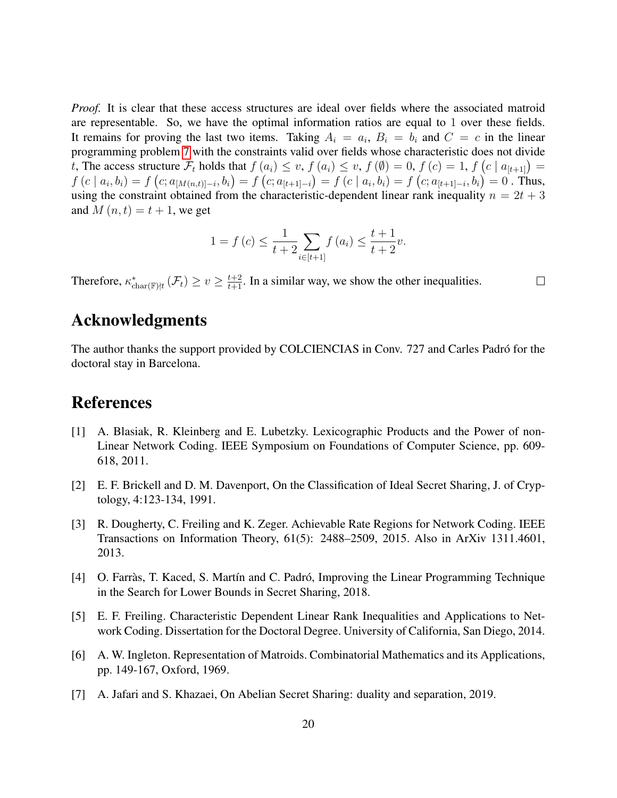*Proof.* It is clear that these access structures are ideal over fields where the associated matroid are representable. So, we have the optimal information ratios are equal to 1 over these fields. It remains for proving the last two items. Taking  $A_i = a_i$ ,  $B_i = b_i$  and  $C = c$  in the linear programming problem [7](#page-5-0) with the constraints valid over fields whose characteristic does not divide t, The access structure  $\mathcal{F}_t$  holds that  $f(a_i) \leq v$ ,  $f(a_i) \leq v$ ,  $f(\emptyset) = 0$ ,  $f(c) = 1$ ,  $f(c \mid a_{[t+1]}) = 1$  $f(c \mid a_i, b_i) = f(c; a_{[M(n,t)]-i}, b_i) = f(c; a_{[t+1]-i}) = f(c \mid a_i, b_i) = f(c; a_{[t+1]-i}, b_i) = 0$ . Thus, using the constraint obtained from the characteristic-dependent linear rank inequality  $n = 2t + 3$ and  $M(n, t) = t + 1$ , we get

$$
1 = f(c) \le \frac{1}{t+2} \sum_{i \in [t+1]} f(a_i) \le \frac{t+1}{t+2}v.
$$

Therefore,  $\kappa_{\text{char}(\mathbb{F})|t}^*$  ( $\mathcal{F}_t$ )  $\geq v \geq \frac{t+2}{t+1}$ . In a similar way, we show the other inequalities.

 $\Box$ 

### Acknowledgments

The author thanks the support provided by COLCIENCIAS in Conv. 727 and Carles Padró for the doctoral stay in Barcelona.

# References

- <span id="page-19-4"></span>[1] A. Blasiak, R. Kleinberg and E. Lubetzky. Lexicographic Products and the Power of non-Linear Network Coding. IEEE Symposium on Foundations of Computer Science, pp. 609- 618, 2011.
- <span id="page-19-0"></span>[2] E. F. Brickell and D. M. Davenport, On the Classification of Ideal Secret Sharing, J. of Cryptology, 4:123-134, 1991.
- <span id="page-19-2"></span>[3] R. Dougherty, C. Freiling and K. Zeger. Achievable Rate Regions for Network Coding. IEEE Transactions on Information Theory, 61(5): 2488–2509, 2015. Also in ArXiv 1311.4601, 2013.
- <span id="page-19-3"></span>[4] O. Farràs, T. Kaced, S. Martín and C. Padró, Improving the Linear Programming Technique in the Search for Lower Bounds in Secret Sharing, 2018.
- <span id="page-19-5"></span>[5] E. F. Freiling. Characteristic Dependent Linear Rank Inequalities and Applications to Network Coding. Dissertation for the Doctoral Degree. University of California, San Diego, 2014.
- <span id="page-19-6"></span>[6] A. W. Ingleton. Representation of Matroids. Combinatorial Mathematics and its Applications, pp. 149-167, Oxford, 1969.
- <span id="page-19-1"></span>[7] A. Jafari and S. Khazaei, On Abelian Secret Sharing: duality and separation, 2019.